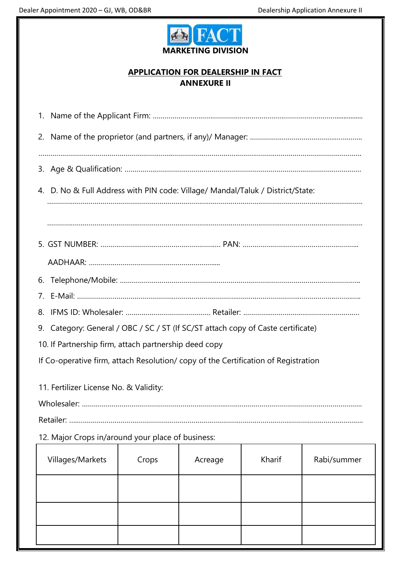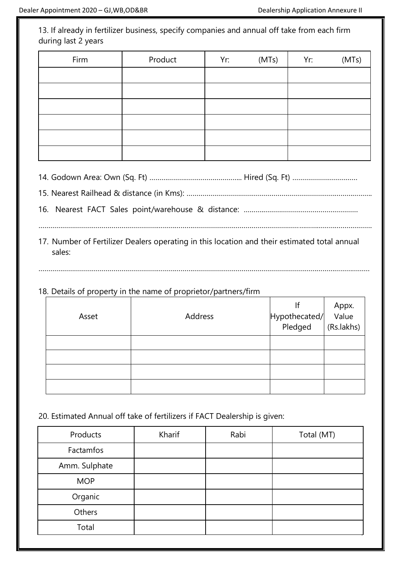13. If already in fertilizer business, specify companies and annual off take from each firm during last 2 years

| Firm | Product | Yr: | (MTs) | Yr: | (MTs) |
|------|---------|-----|-------|-----|-------|
|      |         |     |       |     |       |
|      |         |     |       |     |       |
|      |         |     |       |     |       |
|      |         |     |       |     |       |
|      |         |     |       |     |       |
|      |         |     |       |     |       |

14. Godown Area: Own (Sq. Ft) ……………………………………….. Hired (Sq. Ft) ……………………………

15. Nearest Railhead & distance (in Kms): ………………………………………………………………………………….

16. Nearest FACT Sales point/warehouse & distance: ……….…………………………………………

……………………………………………………………………………………………………………………………………………………. 17. Number of Fertilizer Dealers operating in this location and their estimated total annual

……………………………………………………………………………………………………………………………………………………

sales:

## 18. Details of property in the name of proprietor/partners/firm

| Asset | Address | <br> Hypothecated/ Value<br> Pledged (Rs.lakhs) |  |
|-------|---------|-------------------------------------------------|--|
|       |         |                                                 |  |
|       |         |                                                 |  |
|       |         |                                                 |  |
|       |         |                                                 |  |

20. Estimated Annual off take of fertilizers if FACT Dealership is given:

| Products      | Kharif | Rabi | Total (MT) |
|---------------|--------|------|------------|
| Factamfos     |        |      |            |
| Amm. Sulphate |        |      |            |
| <b>MOP</b>    |        |      |            |
| Organic       |        |      |            |
| Others        |        |      |            |
| Total         |        |      |            |